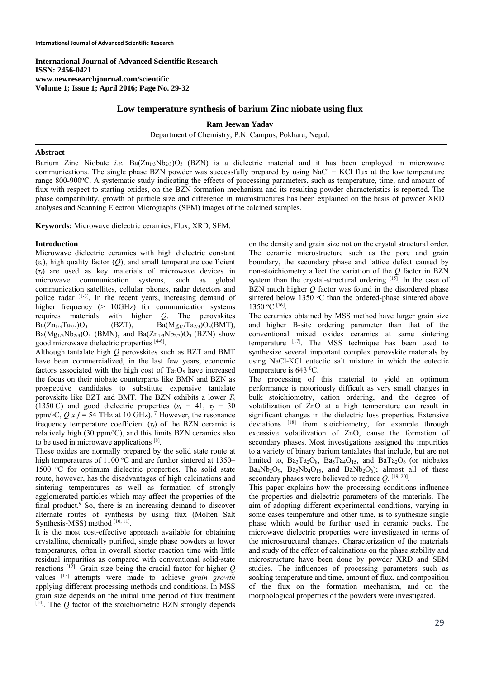**International Journal of Advanced Scientific Research ISSN: 2456-0421 www.newresearchjournal.com/scientific Volume 1; Issue 1; April 2016; Page No. 29-32** 

# **Low temperature synthesis of barium Zinc niobate using flux**

**Ram Jeewan Yadav** 

Department of Chemistry, P.N. Campus, Pokhara, Nepal.

## **Abstract**

Barium Zinc Niobate *i.e.* Ba(Zn1/3Nb2/3)O3 (BZN) is a dielectric material and it has been employed in microwave communications. The single phase BZN powder was successfully prepared by using NaCl  $+$  KCl flux at the low temperature range 800-900°C. A systematic study indicating the effects of processing parameters, such as temperature, time, and amount of flux with respect to starting oxides, on the BZN formation mechanism and its resulting powder characteristics is reported. The phase compatibility, growth of particle size and difference in microstructures has been explained on the basis of powder XRD analyses and Scanning Electron Micrographs (SEM) images of the calcined samples.

**Keywords:** Microwave dielectric ceramics, Flux, XRD, SEM.

## **Introduction**

Microwave dielectric ceramics with high dielectric constant  $(\varepsilon_r)$ , high quality factor (*Q*), and small temperature coefficient (*τf*) are used as key materials of microwave devices in microwave communication systems, such as global communication satellites, cellular phones, radar detectors and police radar [1-3]. In the recent years, increasing demand of higher frequency (> 10GHz) for communication systems requires materials with higher *Q*. The perovskites  $Ba(Zn_{1/3}Ta_{2/3})O_3$  (BZT),  $Ba(Mg_{1/3}Ta_{2/3})O_3(BMT)$ ,  $Ba(Mg_{1/3}Nb_{2/3})O_3$  (BMN), and  $Ba(Zn_{1/3}Nb_{2/3})O_3$  (BZN) show good microwave dielectric properties [4-6].

Although tantalate high *Q* perovskites such as BZT and BMT have been commercialized, in the last few years, economic factors associated with the high cost of  $Ta_2O_5$  have increased the focus on their niobate counterparts like BMN and BZN as prospective candidates to substitute expensive tantalate perovskite like BZT and BMT. The BZN exhibits a lower *T*<sup>s</sup> (1350°C) and good dielectric properties ( $\varepsilon$ <sub>r</sub> = 41,  $\tau$ <sup>*f*</sup> = 30 ppm/∘C,  $Q x f = 54$  THz at 10 GHz).<sup>7</sup> However, the resonance frequency temperature coefficient  $(\tau_f)$  of the BZN ceramic is relatively high (30 ppm/◦ C), and this limits BZN ceramics also to be used in microwave applications [8].

These oxides are normally prepared by the solid state route at high temperatures of 1100 °C and are further sintered at 1350-1500 °C for optimum dielectric properties. The solid state route, however, has the disadvantages of high calcinations and sintering temperatures as well as formation of strongly agglomerated particles which may affect the properties of the final product.<sup>9</sup> So, there is an increasing demand to discover alternate routes of synthesis by using flux (Molten Salt Synthesis-MSS) method [10, 11].

It is the most cost-effective approach available for obtaining crystalline, chemically purified, single phase powders at lower temperatures, often in overall shorter reaction time with little residual impurities as compared with conventional solid-state reactions  $[12]$ . Grain size being the crucial factor for higher  $Q$ values [13] attempts were made to achieve *grain growth* applying different processing methods and conditions. In MSS grain size depends on the initial time period of flux treatment  $[14]$ . The  $Q$  factor of the stoichiometric BZN strongly depends

on the density and grain size not on the crystal structural order. The ceramic microstructure such as the pore and grain boundary, the secondary phase and lattice defect caused by non-stoichiometry affect the variation of the *Q* factor in BZN system than the crystal-structural ordering  $[15]$ . In the case of BZN much higher *Q* factor was found in the disordered phase sintered below 1350 °C than the ordered-phase sintered above 1350 o C [16].

The ceramics obtained by MSS method have larger grain size and higher B-site ordering parameter than that of the conventional mixed oxides ceramics at same sintering temperature  $[17]$ . The MSS technique has been used to synthesize several important complex perovskite materials by using NaCl-KCl eutectic salt mixture in which the eutectic temperature is  $643 \degree$ C.

The processing of this material to yield an optimum performance is notoriously difficult as very small changes in bulk stoichiometry, cation ordering, and the degree of volatilization of ZnO at a high temperature can result in significant changes in the dielectric loss properties. Extensive deviations [18] from stoichiometry, for example through excessive volatilization of ZnO, cause the formation of secondary phases. Most investigations assigned the impurities to a variety of binary barium tantalates that include, but are not limited to,  $Ba_3Ta_2O_8$ ,  $Ba_5Ta_4O_{15}$ , and  $BaTa_2O_6$  (or niobates  $Ba_4Nb_2O_9$ ,  $Ba_5Nb_4O_{15}$ , and  $BaNb_2O_6$ ); almost all of these secondary phases were believed to reduce *Q*. [19, 20].

This paper explains how the processing conditions influence the properties and dielectric parameters of the materials. The aim of adopting different experimental conditions, varying in some cases temperature and other time, is to synthesize single phase which would be further used in ceramic pucks. The microwave dielectric properties were investigated in terms of the microstructural changes. Characterization of the materials and study of the effect of calcinations on the phase stability and microstructure have been done by powder XRD and SEM studies. The influences of processing parameters such as soaking temperature and time, amount of flux, and composition of the flux on the formation mechanism, and on the morphological properties of the powders were investigated.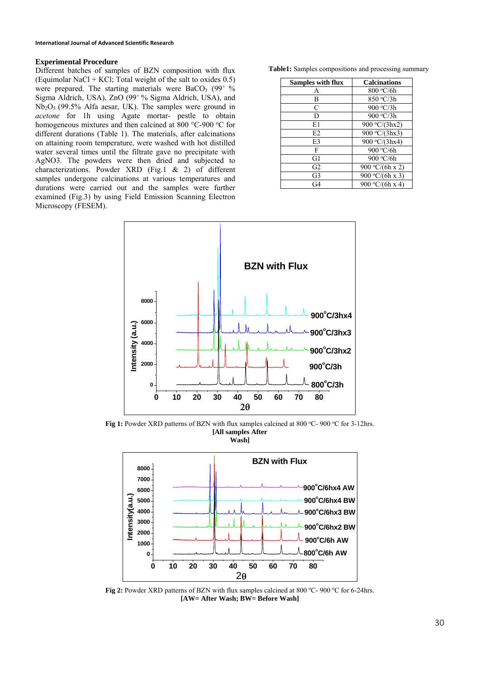## **Experimental Procedure**

Different batches of samples of BZN composition with flux (Equimolar NaCl + KCl; Total weight of the salt to oxides  $0.5$ ) were prepared. The starting materials were  $BaCO<sub>3</sub>$  (99<sup>+  $\%$ </sup>) Sigma Aldrich, USA), ZnO (99+ % Sigma Aldrich, USA), and Nb2O5 (99.5% Alfa aesar, UK). The samples were ground in *acetone* for 1h using Agate mortar- pestle to obtain homogeneous mixtures and then calcined at 800 °C-900 °C for different durations (Table 1). The materials, after calcinations on attaining room temperature, were washed with hot distilled water several times until the filtrate gave no precipitate with AgNO3. The powders were then dried and subjected to characterizations. Powder XRD (Fig.1 & 2) of different samples undergone calcinations at various temperatures and durations were carried out and the samples were further examined (Fig.3) by using Field Emission Scanning Electron Microscopy (FESEM).

| Table1: Samples compositions and processing summary |  |  |  |
|-----------------------------------------------------|--|--|--|
|-----------------------------------------------------|--|--|--|

| Samples with flux | <b>Calcinations</b> |
|-------------------|---------------------|
| A                 | 800 °C/6h           |
| В                 | 850 °C/3h           |
| C                 | 900 °C/3h           |
| D                 | 900 °C/3h           |
| E1                | 900 °C/(3hx2)       |
| E <sub>2</sub>    | 900 °C/(3hx3)       |
| E3                | 900 °C/(3hx4)       |
| F                 | 900 °C/6h           |
| G1                | 900 °C/6h           |
| G2                | 900 °C/(6h x 2)     |
| G3                | 900 °C/(6h x 3)     |
| G4                | 900 °C/(6h x 4)     |



Fig 1: Powder XRD patterns of BZN with flux samples calcined at 800 °C- 900 °C for 3-12hrs. **[All samples After Wash]** 



Fig 2: Powder XRD patterns of BZN with flux samples calcined at 800 °C- 900 °C for 6-24hrs. **[AW= After Wash; BW= Before Wash]**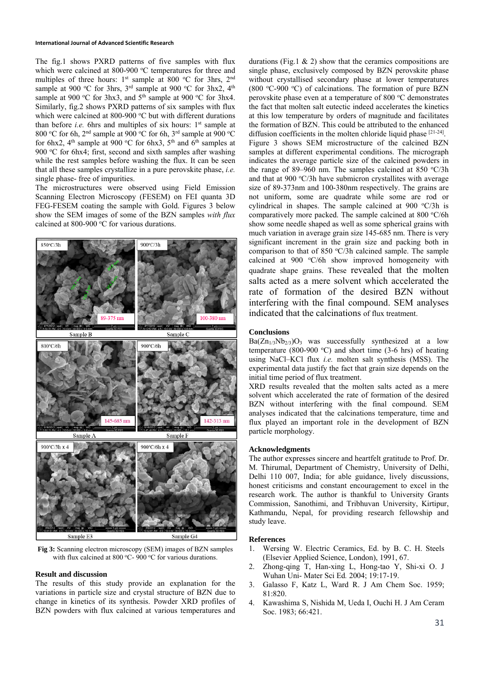#### **International Journal of Advanced Scientific Research**

The fig.1 shows PXRD patterns of five samples with flux which were calcined at 800-900 °C temperatures for three and multiples of three hours:  $1<sup>st</sup>$  sample at 800 °C for 3hrs,  $2<sup>nd</sup>$ sample at 900 °C for 3hrs,  $3<sup>rd</sup>$  sample at 900 °C for 3hx2, 4<sup>th</sup> sample at 900 °C for 3hx3, and  $5<sup>th</sup>$  sample at 900 °C for 3hx4. Similarly, fig.2 shows PXRD patterns of six samples with flux which were calcined at 800-900 °C but with different durations than before *i.e.* 6hrs and multiples of six hours:  $1<sup>st</sup>$  sample at 800 °C for 6h, 2<sup>nd</sup> sample at 900 °C for 6h, 3<sup>rd</sup> sample at 900 °C for 6hx2,  $4<sup>th</sup>$  sample at 900 °C for 6hx3,  $5<sup>th</sup>$  and 6<sup>th</sup> samples at 900 °C for 6hx4; first, second and sixth samples after washing while the rest samples before washing the flux. It can be seen that all these samples crystallize in a pure perovskite phase, *i.e.* single phase- free of impurities.

The microstructures were observed using Field Emission Scanning Electron Microscopy (FESEM) on FEI quanta 3D FEG-FESEM coating the sample with Gold. Figures 3 below show the SEM images of some of the BZN samples *with flux* calcined at 800-900  $\mathrm{^{\circ}C}$  for various durations.



**Fig 3:** Scanning electron microscopy (SEM) images of BZN samples with flux calcined at 800 °C- 900 °C for various durations.

### **Result and discussion**

The results of this study provide an explanation for the variations in particle size and crystal structure of BZN due to change in kinetics of its synthesis. Powder XRD profiles of BZN powders with flux calcined at various temperatures and

durations (Fig.1  $\&$  2) show that the ceramics compositions are single phase, exclusively composed by BZN perovskite phase without crystallised secondary phase at lower temperatures (800 °C-900 °C) of calcinations. The formation of pure BZN perovskite phase even at a temperature of 800 °C demonstrates the fact that molten salt eutectic indeed accelerates the kinetics at this low temperature by orders of magnitude and facilitates the formation of BZN. This could be attributed to the enhanced diffusion coefficients in the molten chloride liquid phase [21-24]. Figure 3 shows SEM microstructure of the calcined BZN samples at different experimental conditions. The micrograph indicates the average particle size of the calcined powders in the range of 89-960 nm. The samples calcined at 850  $\textdegree$ C/3h and that at 900 °C/3h have submicron crystallites with average size of 89-373nm and 100-380nm respectively. The grains are not uniform, some are quadrate while some are rod or cylindrical in shapes. The sample calcined at  $900 °C/3h$  is comparatively more packed. The sample calcined at 800 °C/6h show some needle shaped as well as some spherical grains with much variation in average grain size 145-685 nm. There is very significant increment in the grain size and packing both in comparison to that of 850 °C/3h calcined sample. The sample calcined at 900 °C/6h show improved homogeneity with quadrate shape grains. These revealed that the molten salts acted as a mere solvent which accelerated the rate of formation of the desired BZN without interfering with the final compound. SEM analyses indicated that the calcinations of flux treatment.

## **Conclusions**

 $Ba(Zn_{1/3}Nb_{2/3})O_3$  was successfully synthesized at a low temperature (800-900 °C) and short time (3-6 hrs) of heating using NaCl–KCl flux *i.e.* molten salt synthesis (MSS). The experimental data justify the fact that grain size depends on the initial time period of flux treatment.

XRD results revealed that the molten salts acted as a mere solvent which accelerated the rate of formation of the desired BZN without interfering with the final compound. SEM analyses indicated that the calcinations temperature, time and flux played an important role in the development of BZN particle morphology.

## **Acknowledgments**

The author expresses sincere and heartfelt gratitude to Prof. Dr. M. Thirumal, Department of Chemistry, University of Delhi, Delhi 110 007, India; for able guidance, lively discussions, honest criticisms and constant encouragement to excel in the research work. The author is thankful to University Grants Commission, Sanothimi, and Tribhuvan University, Kirtipur, Kathmandu, Nepal, for providing research fellowship and study leave.

#### **References**

- 1. Wersing W. Electric Ceramics, Ed. by B. C. H. Steels (Elsevier Applied Science, London), 1991, 67.
- 2. Zhong-qing T, Han-xing L, Hong-tao Y, Shi-xi O. J Wuhan Uni- Mater Sci Ed*.* 2004; 19:17-19.
- 3. Galasso F, Katz L, Ward R. J Am Chem Soc. 1959; 81:820.
- 4. Kawashima S, Nishida M, Ueda I, Ouchi H. J Am Ceram Soc. 1983; 66:421.